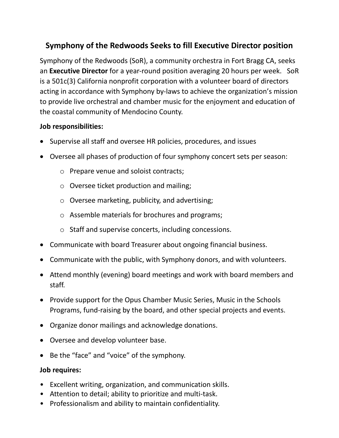## **Symphony of the Redwoods Seeks to fill Executive Director position**

Symphony of the Redwoods (SoR), a community orchestra in Fort Bragg CA, seeks an **Executive Director** for a year-round position averaging 20 hours per week. SoR is a 501c(3) California nonprofit corporation with a volunteer board of directors acting in accordance with Symphony by-laws to achieve the organization's mission to provide live orchestral and chamber music for the enjoyment and education of the coastal community of Mendocino County.

## **Job responsibilities:**

- Supervise all staff and oversee HR policies, procedures, and issues
- Oversee all phases of production of four symphony concert sets per season:
	- o Prepare venue and soloist contracts;
	- o Oversee ticket production and mailing;
	- o Oversee marketing, publicity, and advertising;
	- o Assemble materials for brochures and programs;
	- o Staff and supervise concerts, including concessions.
- Communicate with board Treasurer about ongoing financial business.
- Communicate with the public, with Symphony donors, and with volunteers.
- Attend monthly (evening) board meetings and work with board members and staff.
- Provide support for the Opus Chamber Music Series, Music in the Schools Programs, fund-raising by the board, and other special projects and events.
- Organize donor mailings and acknowledge donations.
- Oversee and develop volunteer base.
- Be the "face" and "voice" of the symphony.

## **Job requires:**

- Excellent writing, organization, and communication skills.
- Attention to detail; ability to prioritize and multi-task.
- Professionalism and ability to maintain confidentiality.